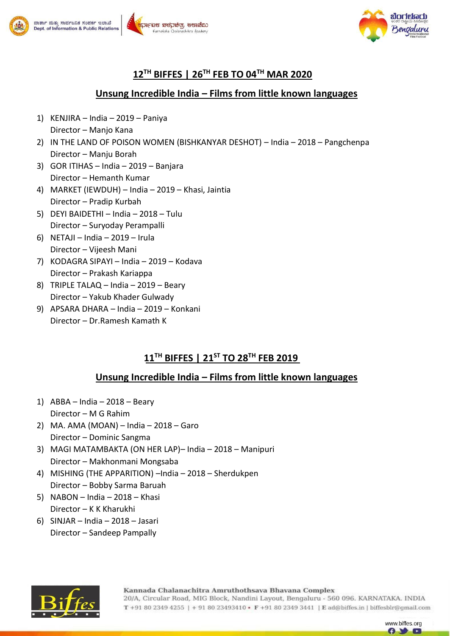



## **12TH BIFFES | 26TH FEB TO 04TH MAR 2020**

#### **Unsung Incredible India – Films from little known languages**

- 1) KENJIRA India 2019 Paniya Director – Manjo Kana
- 2) IN THE LAND OF POISON WOMEN (BISHKANYAR DESHOT) India 2018 Pangchenpa Director – Manju Borah
- 3) GOR ITIHAS India 2019 Banjara Director – Hemanth Kumar
- 4) MARKET (IEWDUH) India 2019 Khasi, Jaintia Director – Pradip Kurbah
- 5) DEYI BAIDETHI India 2018 Tulu Director – Suryoday Perampalli
- 6) NETAJI India 2019 Irula Director – Vijeesh Mani
- 7) KODAGRA SIPAYI India 2019 Kodava Director – Prakash Kariappa
- 8) TRIPLE TALAQ India 2019 Beary Director – Yakub Khader Gulwady
- 9) APSARA DHARA India 2019 Konkani Director – Dr.Ramesh Kamath K

## **11TH BIFFES | 21ST TO 28TH FEB 2019**

### **Unsung Incredible India – Films from little known languages**

- 1) ABBA India 2018 Beary Director – M G Rahim
- 2) MA. AMA (MOAN) India 2018 Garo Director – Dominic Sangma
- 3) MAGI MATAMBAKTA (ON HER LAP)– India 2018 Manipuri Director – Makhonmani Mongsaba
- 4) MISHING (THE APPARITION) –India 2018 Sherdukpen Director – Bobby Sarma Baruah
- 5) NABON India 2018 Khasi Director – K K Kharukhi
- 6) SINJAR India 2018 Jasari Director – Sandeep Pampally